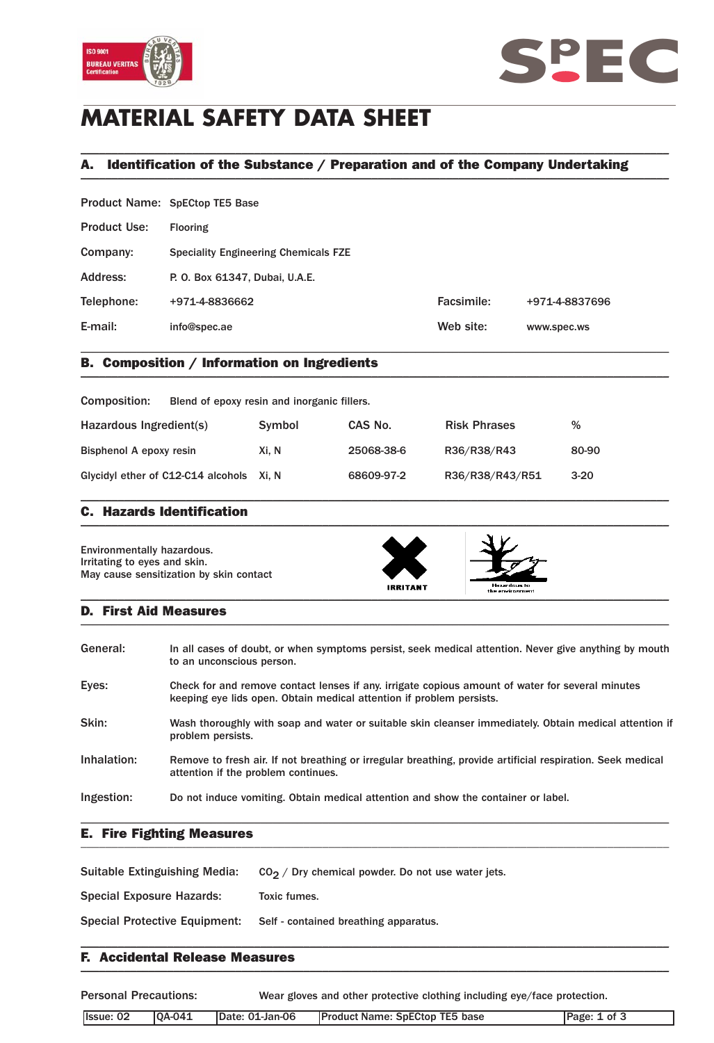



# **MATERIAL SAFETY DATA SHEET**

# A. Identification of the Substance / Preparation and of the Company Undertaking \_\_\_\_\_\_\_\_\_\_\_\_\_\_\_\_\_\_\_\_\_\_\_\_\_\_\_\_\_\_\_\_\_\_\_\_\_\_\_\_\_\_\_\_\_\_\_\_\_\_\_\_\_\_\_\_\_\_\_\_\_\_\_\_\_\_\_\_\_\_\_\_\_\_\_\_\_\_\_\_\_\_\_\_\_\_\_\_\_\_\_\_\_\_\_

\_\_\_\_\_\_\_\_\_\_\_\_\_\_\_\_\_\_\_\_\_\_\_\_\_\_\_\_\_\_\_\_\_\_\_\_\_\_\_\_\_\_\_\_\_\_\_\_\_\_\_\_\_\_\_\_\_\_\_\_\_\_\_\_\_\_\_\_\_\_\_\_\_\_\_\_\_\_\_\_\_\_\_\_\_\_\_\_\_\_\_\_\_\_\_

|                     | Product Name: SpECtop TE5 Base              |            |                |  |
|---------------------|---------------------------------------------|------------|----------------|--|
| <b>Product Use:</b> | Flooring                                    |            |                |  |
| Company:            | <b>Speciality Engineering Chemicals FZE</b> |            |                |  |
| Address:            | P. O. Box 61347, Dubai, U.A.E.              |            |                |  |
| Telephone:          | +971-4-8836662                              | Facsimile: | +971-4-8837696 |  |
| E-mail:             | info@spec.ae                                | Web site:  | www.spec.ws    |  |
|                     |                                             |            |                |  |

# B. Composition / Information on Ingredients \_\_\_\_\_\_\_\_\_\_\_\_\_\_\_\_\_\_\_\_\_\_\_\_\_\_\_\_\_\_\_\_\_\_\_\_\_\_\_\_\_\_\_\_\_\_\_\_\_\_\_\_\_\_\_\_\_\_\_\_\_\_\_\_\_\_\_\_\_\_\_\_\_\_\_\_\_\_\_\_\_\_\_\_\_\_\_\_\_\_\_\_\_\_\_

| Composition:                             | Blend of epoxy resin and inorganic fillers. |            |                     |        |  |
|------------------------------------------|---------------------------------------------|------------|---------------------|--------|--|
| Hazardous Ingredient(s)                  | Symbol                                      | CAS No.    | <b>Risk Phrases</b> | %      |  |
| Bisphenol A epoxy resin                  | Xi. N                                       | 25068-38-6 | R36/R38/R43         | 80-90  |  |
| Glycidyl ether of C12-C14 alcohols Xi, N |                                             | 68609-97-2 | R36/R38/R43/R51     | $3-20$ |  |

#### C. Hazards Identification  $\blacksquare$

Environmentally hazardous. Irritating to eyes and skin. May cause sensitization by skin contact





#### D. First Aid Measures  $\blacksquare$

| General:    | In all cases of doubt, or when symptoms persist, seek medical attention. Never give anything by mouth<br>to an unconscious person.                                       |
|-------------|--------------------------------------------------------------------------------------------------------------------------------------------------------------------------|
| Eyes:       | Check for and remove contact lenses if any, irrigate copious amount of water for several minutes<br>keeping eye lids open. Obtain medical attention if problem persists. |
| Skin:       | Wash thoroughly with soap and water or suitable skin cleanser immediately. Obtain medical attention if<br>problem persists.                                              |
| Inhalation: | Remove to fresh air. If not breathing or irregular breathing, provide artificial respiration. Seek medical<br>attention if the problem continues.                        |
| Ingestion:  | Do not induce vomiting. Obtain medical attention and show the container or label.                                                                                        |

### E. Fire Fighting Measures \_\_\_\_\_\_\_\_\_\_\_\_\_\_\_\_\_\_\_\_\_\_\_\_\_\_\_\_\_\_\_\_\_\_\_\_\_\_\_\_\_\_\_\_\_\_\_\_\_\_\_\_\_\_\_\_\_\_\_\_\_\_\_\_\_\_\_\_\_\_\_\_\_\_\_\_\_\_\_\_\_\_\_\_\_\_\_\_\_\_\_\_\_\_\_

| Suitable Extinguishing Media:        | $CO2$ / Dry chemical powder. Do not use water jets. |
|--------------------------------------|-----------------------------------------------------|
| <b>Special Exposure Hazards:</b>     | Toxic fumes.                                        |
| <b>Special Protective Equipment:</b> | Self - contained breathing apparatus.               |

### F. Accidental Release Measures  $\blacksquare$

Personal Precautions: Wear gloves and other protective clothing including eye/face protection.

| Issue: 02 | $ OA-041$ | Date: 01-Jan-06 | <b>Product Name: SpECtop TE5 base</b> | Page: 1 of 3 |
|-----------|-----------|-----------------|---------------------------------------|--------------|
|           |           |                 |                                       |              |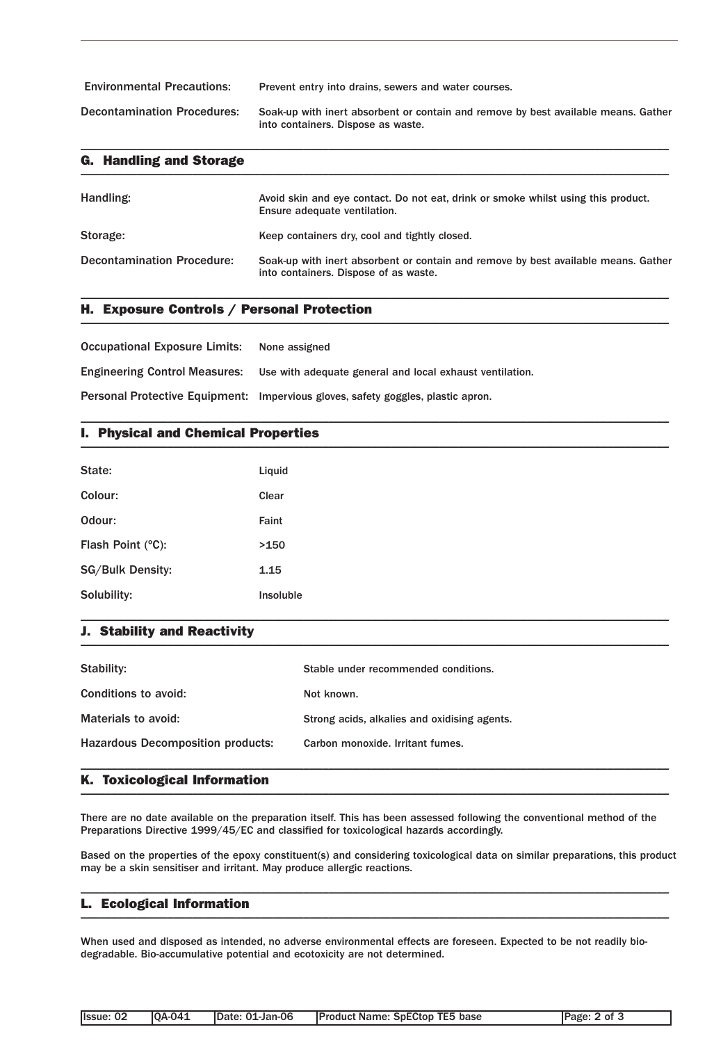| <b>Environmental Precautions:</b>  | Prevent entry into drains, sewers and water courses.                                                                     |
|------------------------------------|--------------------------------------------------------------------------------------------------------------------------|
| <b>Decontamination Procedures:</b> | Soak-up with inert absorbent or contain and remove by best available means. Gather<br>into containers. Dispose as waste. |

| <b>G. Handling and Storage</b>    |                                                                                                                             |  |  |  |
|-----------------------------------|-----------------------------------------------------------------------------------------------------------------------------|--|--|--|
| Handling:                         | Avoid skin and eye contact. Do not eat, drink or smoke whilst using this product.<br>Ensure adequate ventilation.           |  |  |  |
| Storage:                          | Keep containers dry, cool and tightly closed.                                                                               |  |  |  |
| <b>Decontamination Procedure:</b> | Soak-up with inert absorbent or contain and remove by best available means. Gather<br>into containers. Dispose of as waste. |  |  |  |

\_\_\_\_\_\_\_\_\_\_\_\_\_\_\_\_\_\_\_\_\_\_\_\_\_\_\_\_\_\_\_\_\_\_\_\_\_\_\_\_\_\_\_\_\_\_\_\_\_\_\_\_\_\_\_\_\_\_\_\_\_\_\_\_\_\_\_\_\_\_\_\_\_\_\_\_\_\_\_\_\_\_\_\_\_\_\_\_\_\_\_\_\_\_\_

\_\_\_\_\_\_\_\_\_\_\_\_\_\_\_\_\_\_\_\_\_\_\_\_\_\_\_\_\_\_\_\_\_\_\_\_\_\_\_\_\_\_\_\_\_\_\_\_\_\_\_\_\_\_\_\_\_\_\_\_\_\_\_\_\_\_\_\_\_\_\_\_\_\_\_\_\_\_\_\_\_\_\_\_\_\_\_\_\_\_\_\_\_\_\_

# H. Exposure Controls / Personal Protection \_\_\_\_\_\_\_\_\_\_\_\_\_\_\_\_\_\_\_\_\_\_\_\_\_\_\_\_\_\_\_\_\_\_\_\_\_\_\_\_\_\_\_\_\_\_\_\_\_\_\_\_\_\_\_\_\_\_\_\_\_\_\_\_\_\_\_\_\_\_\_\_\_\_\_\_\_\_\_\_\_\_\_\_\_\_\_\_\_\_\_\_\_\_\_

| <b>Occupational Exposure Limits:</b> | None assigned                                                                          |
|--------------------------------------|----------------------------------------------------------------------------------------|
|                                      | Engineering Control Measures: Use with adequate general and local exhaust ventilation. |
|                                      | Personal Protective Equipment: Impervious gloves, safety goggles, plastic apron.       |

# I. Physical and Chemical Properties \_\_\_\_\_\_\_\_\_\_\_\_\_\_\_\_\_\_\_\_\_\_\_\_\_\_\_\_\_\_\_\_\_\_\_\_\_\_\_\_\_\_\_\_\_\_\_\_\_\_\_\_\_\_\_\_\_\_\_\_\_\_\_\_\_\_\_\_\_\_\_\_\_\_\_\_\_\_\_\_\_\_\_\_\_\_\_\_\_\_\_\_\_\_\_

| State:                  | Liquid    |
|-------------------------|-----------|
| Colour:                 | Clear     |
| Odour:                  | Faint     |
| Flash Point (°C):       | >150      |
| <b>SG/Bulk Density:</b> | 1.15      |
| Solubility:             | Insoluble |

### J. Stability and Reactivity  $\blacksquare$

| Stability:                               | Stable under recommended conditions.         |
|------------------------------------------|----------------------------------------------|
| Conditions to avoid:                     | Not known.                                   |
| Materials to avoid:                      | Strong acids, alkalies and oxidising agents. |
| <b>Hazardous Decomposition products:</b> | Carbon monoxide, Irritant fumes.             |
|                                          |                                              |

\_\_\_\_\_\_\_\_\_\_\_\_\_\_\_\_\_\_\_\_\_\_\_\_\_\_\_\_\_\_\_\_\_\_\_\_\_\_\_\_\_\_\_\_\_\_\_\_\_\_\_\_\_\_\_\_\_\_\_\_\_\_\_\_\_\_\_\_\_\_\_\_\_\_\_\_\_\_\_\_\_\_\_\_\_\_\_\_\_\_\_\_\_\_\_

#### K. Toxicological Information  $\blacksquare$

There are no date available on the preparation itself. This has been assessed following the conventional method of the Preparations Directive 1999/45/EC and classified for toxicological hazards accordingly.

Based on the properties of the epoxy constituent(s) and considering toxicological data on similar preparations, this product may be a skin sensitiser and irritant. May produce allergic reactions.

\_\_\_\_\_\_\_\_\_\_\_\_\_\_\_\_\_\_\_\_\_\_\_\_\_\_\_\_\_\_\_\_\_\_\_\_\_\_\_\_\_\_\_\_\_\_\_\_\_\_\_\_\_\_\_\_\_\_\_\_\_\_\_\_\_\_\_\_\_\_\_\_\_\_\_\_\_\_\_\_\_\_\_\_\_\_\_\_\_\_\_\_\_\_\_

#### L. Ecological Information  $\blacksquare$   $\blacksquare$   $\blacksquare$   $\blacksquare$   $\blacksquare$   $\blacksquare$   $\blacksquare$   $\blacksquare$   $\blacksquare$   $\blacksquare$   $\blacksquare$   $\blacksquare$   $\blacksquare$   $\blacksquare$   $\blacksquare$   $\blacksquare$   $\blacksquare$   $\blacksquare$   $\blacksquare$   $\blacksquare$   $\blacksquare$   $\blacksquare$   $\blacksquare$   $\blacksquare$   $\blacksquare$   $\blacksquare$   $\blacksquare$   $\blacksquare$   $\blacksquare$   $\blacksquare$   $\blacksquare$   $\blacks$

When used and disposed as intended, no adverse environmental effects are foreseen. Expected to be not readily biodegradable. Bio-accumulative potential and ecotoxicity are not determined.

| Ilssue: 02 | $IOA-041$ | <b>IDate: 01-Jan-06</b> | <b>Product Name: SpECtop TE5 base</b> | Page: 2 of 3 |
|------------|-----------|-------------------------|---------------------------------------|--------------|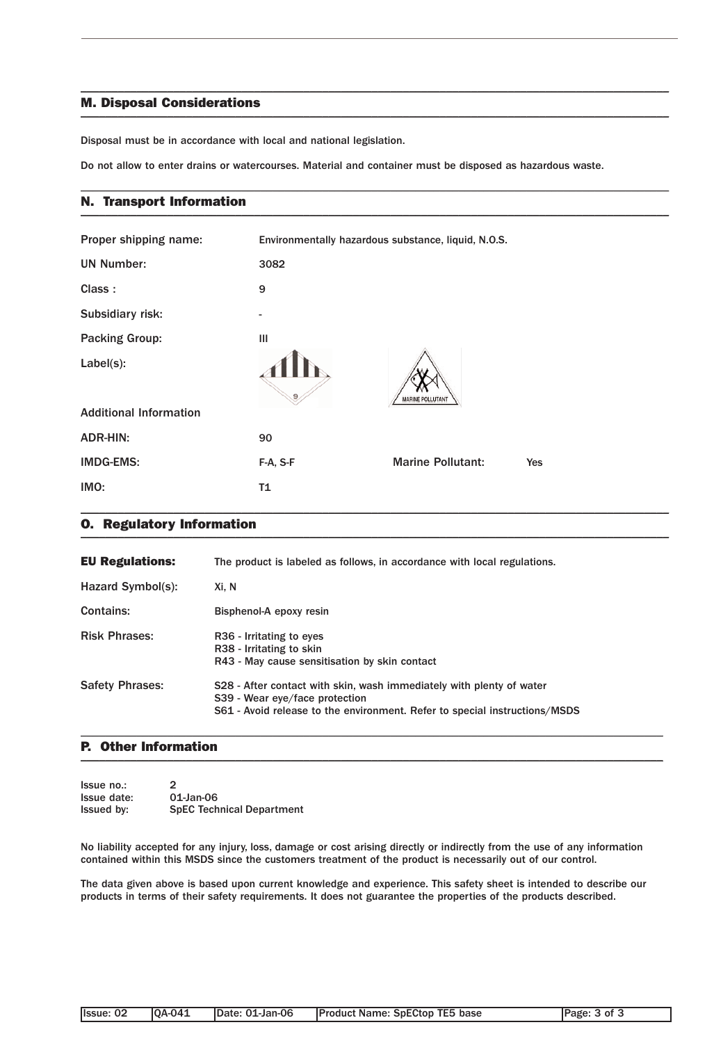### M. Disposal Considerations \_\_\_\_\_\_\_\_\_\_\_\_\_\_\_\_\_\_\_\_\_\_\_\_\_\_\_\_\_\_\_\_\_\_\_\_\_\_\_\_\_\_\_\_\_\_\_\_\_\_\_\_\_\_\_\_\_\_\_\_\_\_\_\_\_\_\_\_\_\_\_\_\_\_\_\_\_\_\_\_\_\_\_\_\_\_\_\_\_\_\_\_\_\_\_

Disposal must be in accordance with local and national legislation.

Do not allow to enter drains or watercourses. Material and container must be disposed as hazardous waste.

\_\_\_\_\_\_\_\_\_\_\_\_\_\_\_\_\_\_\_\_\_\_\_\_\_\_\_\_\_\_\_\_\_\_\_\_\_\_\_\_\_\_\_\_\_\_\_\_\_\_\_\_\_\_\_\_\_\_\_\_\_\_\_\_\_\_\_\_\_\_\_\_\_\_\_\_\_\_\_\_\_\_\_\_\_\_\_\_\_\_\_\_\_\_\_

\_\_\_\_\_\_\_\_\_\_\_\_\_\_\_\_\_\_\_\_\_\_\_\_\_\_\_\_\_\_\_\_\_\_\_\_\_\_\_\_\_\_\_\_\_\_\_\_\_\_\_\_\_\_\_\_\_\_\_\_\_\_\_\_\_\_\_\_\_\_\_\_\_\_\_\_\_\_\_\_\_\_\_\_\_\_\_\_\_\_\_\_\_\_\_

#### N. Transport Information \_\_\_\_\_\_\_\_\_\_\_\_\_\_\_\_\_\_\_\_\_\_\_\_\_\_\_\_\_\_\_\_\_\_\_\_\_\_\_\_\_\_\_\_\_\_\_\_\_\_\_\_\_\_\_\_\_\_\_\_\_\_\_\_\_\_\_\_\_\_\_\_\_\_\_\_\_\_\_\_\_\_\_\_\_\_\_\_\_\_\_\_\_\_\_

| Proper shipping name:         | Environmentally hazardous substance, liquid, N.O.S. |                          |     |
|-------------------------------|-----------------------------------------------------|--------------------------|-----|
| <b>UN Number:</b>             | 3082                                                |                          |     |
| Class:                        | 9                                                   |                          |     |
| Subsidiary risk:              |                                                     |                          |     |
| <b>Packing Group:</b>         | III                                                 |                          |     |
| Label(s):                     |                                                     | <b>MARINE POLLUTANT</b>  |     |
| <b>Additional Information</b> |                                                     |                          |     |
| <b>ADR-HIN:</b>               | 90                                                  |                          |     |
| <b>IMDG-EMS:</b>              | F-A, S-F                                            | <b>Marine Pollutant:</b> | Yes |
| IMO:                          | T1                                                  |                          |     |

#### O. Regulatory Information \_\_\_\_\_\_\_\_\_\_\_\_\_\_\_\_\_\_\_\_\_\_\_\_\_\_\_\_\_\_\_\_\_\_\_\_\_\_\_\_\_\_\_\_\_\_\_\_\_\_\_\_\_\_\_\_\_\_\_\_\_\_\_\_\_\_\_\_\_\_\_\_\_\_\_\_\_\_\_\_\_\_\_\_\_\_\_\_\_\_\_\_\_\_\_

| <b>EU Regulations:</b> | The product is labeled as follows, in accordance with local regulations.                                                                                                             |
|------------------------|--------------------------------------------------------------------------------------------------------------------------------------------------------------------------------------|
| Hazard Symbol(s):      | Xi, N                                                                                                                                                                                |
| Contains:              | Bisphenol-A epoxy resin                                                                                                                                                              |
| <b>Risk Phrases:</b>   | R <sub>36</sub> - Irritating to eyes<br>R38 - Irritating to skin<br>R43 - May cause sensitisation by skin contact                                                                    |
| <b>Safety Phrases:</b> | S28 - After contact with skin, wash immediately with plenty of water<br>S39 - Wear eye/face protection<br>S61 - Avoid release to the environment. Refer to special instructions/MSDS |

\_\_\_\_\_\_\_\_\_\_\_\_\_\_\_\_\_\_\_\_\_\_\_\_\_\_\_\_\_\_\_\_\_\_\_\_\_\_\_\_\_\_\_\_\_\_\_\_\_\_\_\_\_\_\_\_\_\_\_\_\_\_\_\_\_\_\_\_\_\_\_\_\_\_\_\_\_\_\_\_\_\_\_\_\_\_\_\_\_\_\_\_\_\_

#### P. Other Information  $\blacksquare$

| Issue no.:        | $\mathcal{L}$                    |
|-------------------|----------------------------------|
| Issue date:       | 01-Jan-06                        |
| <b>Issued by:</b> | <b>SpEC Technical Department</b> |

No liability accepted for any injury, loss, damage or cost arising directly or indirectly from the use of any information contained within this MSDS since the customers treatment of the product is necessarily out of our control.

The data given above is based upon current knowledge and experience. This safety sheet is intended to describe our products in terms of their safety requirements. It does not guarantee the properties of the products described.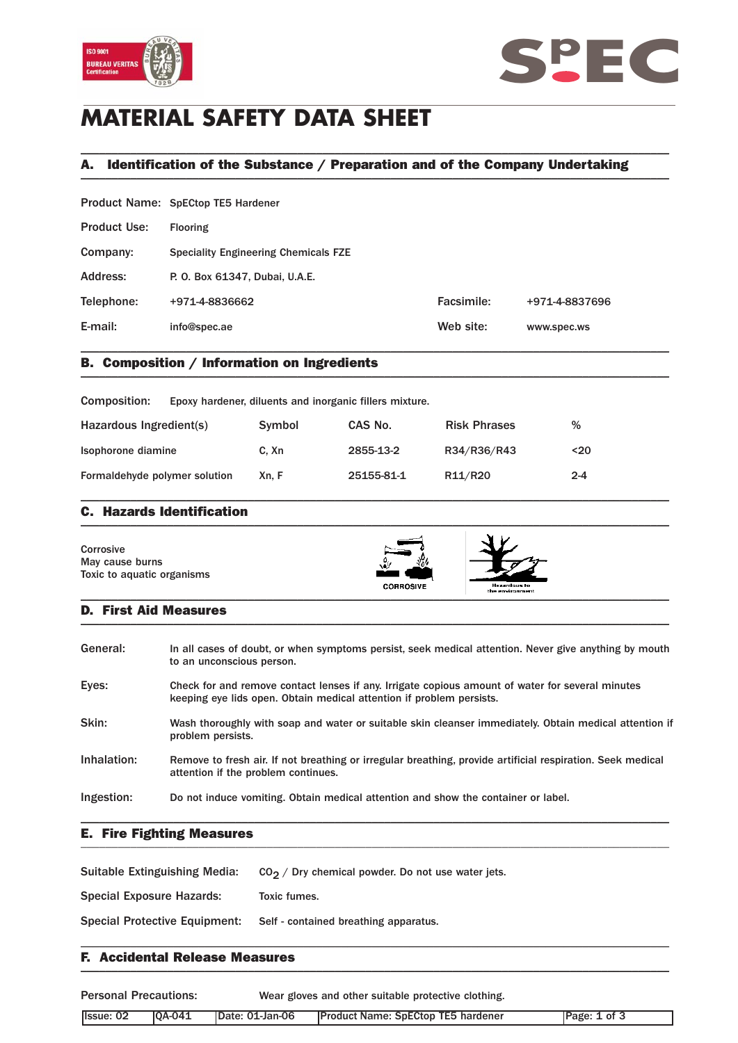



# **MATERIAL SAFETY DATA SHEET**

# A. Identification of the Substance / Preparation and of the Company Undertaking \_\_\_\_\_\_\_\_\_\_\_\_\_\_\_\_\_\_\_\_\_\_\_\_\_\_\_\_\_\_\_\_\_\_\_\_\_\_\_\_\_\_\_\_\_\_\_\_\_\_\_\_\_\_\_\_\_\_\_\_\_\_\_\_\_\_\_\_\_\_\_\_\_\_\_\_\_\_\_\_\_\_\_\_\_\_\_\_\_\_\_\_\_\_\_

\_\_\_\_\_\_\_\_\_\_\_\_\_\_\_\_\_\_\_\_\_\_\_\_\_\_\_\_\_\_\_\_\_\_\_\_\_\_\_\_\_\_\_\_\_\_\_\_\_\_\_\_\_\_\_\_\_\_\_\_\_\_\_\_\_\_\_\_\_\_\_\_\_\_\_\_\_\_\_\_\_\_\_\_\_\_\_\_\_\_\_\_\_\_\_

|                     | Product Name: SpECtop TE5 Hardener          |            |                |
|---------------------|---------------------------------------------|------------|----------------|
| <b>Product Use:</b> | <b>Flooring</b>                             |            |                |
| Company:            | <b>Speciality Engineering Chemicals FZE</b> |            |                |
| Address:            | P. O. Box 61347, Dubai, U.A.E.              |            |                |
| Telephone:          | +971-4-8836662                              | Facsimile: | +971-4-8837696 |
| E-mail:             | info@spec.ae                                | Web site:  | www.spec.ws    |
|                     |                                             |            |                |

# B. Composition / Information on Ingredients \_\_\_\_\_\_\_\_\_\_\_\_\_\_\_\_\_\_\_\_\_\_\_\_\_\_\_\_\_\_\_\_\_\_\_\_\_\_\_\_\_\_\_\_\_\_\_\_\_\_\_\_\_\_\_\_\_\_\_\_\_\_\_\_\_\_\_\_\_\_\_\_\_\_\_\_\_\_\_\_\_\_\_\_\_\_\_\_\_\_\_\_\_\_\_

| Composition:                  | Epoxy hardener, diluents and inorganic fillers mixture. |        |            |                     |         |  |
|-------------------------------|---------------------------------------------------------|--------|------------|---------------------|---------|--|
| Hazardous Ingredient(s)       |                                                         | Symbol | CAS No.    | <b>Risk Phrases</b> | %       |  |
| Isophorone diamine            |                                                         | C. Xn  | 2855-13-2  | R34/R36/R43         | $20$    |  |
| Formaldehyde polymer solution |                                                         | Xn. F  | 25155-81-1 | R11/R20             | $2 - 4$ |  |

### C. Hazards Identification  $\blacksquare$

| Corrosive<br>May cause burns<br>Toxic to aquatic organisms | ۰.,<br><b>CORROSIVE</b> | Hezardous to<br>the environment |  |
|------------------------------------------------------------|-------------------------|---------------------------------|--|
|------------------------------------------------------------|-------------------------|---------------------------------|--|

### D. First Aid Measures  $\blacksquare$

| General:    | In all cases of doubt, or when symptoms persist, seek medical attention. Never give anything by mouth<br>to an unconscious person.                                       |
|-------------|--------------------------------------------------------------------------------------------------------------------------------------------------------------------------|
| Eyes:       | Check for and remove contact lenses if any. Irrigate copious amount of water for several minutes<br>keeping eye lids open. Obtain medical attention if problem persists. |
| Skin:       | Wash thoroughly with soap and water or suitable skin cleanser immediately. Obtain medical attention if<br>problem persists.                                              |
| Inhalation: | Remove to fresh air. If not breathing or irregular breathing, provide artificial respiration. Seek medical<br>attention if the problem continues.                        |
| Ingestion:  | Do not induce vomiting. Obtain medical attention and show the container or label.                                                                                        |

### E. Fire Fighting Measures \_\_\_\_\_\_\_\_\_\_\_\_\_\_\_\_\_\_\_\_\_\_\_\_\_\_\_\_\_\_\_\_\_\_\_\_\_\_\_\_\_\_\_\_\_\_\_\_\_\_\_\_\_\_\_\_\_\_\_\_\_\_\_\_\_\_\_\_\_\_\_\_\_\_\_\_\_\_\_\_\_\_\_\_\_\_\_\_\_\_\_\_\_\_\_

| Suitable Extinguishing Media:        | $CO2$ / Dry chemical powder. Do not use water jets. |
|--------------------------------------|-----------------------------------------------------|
| Special Exposure Hazards:            | Toxic fumes.                                        |
| <b>Special Protective Equipment:</b> | Self - contained breathing apparatus.               |

### F. Accidental Release Measures  $\blacksquare$

| <b>Personal Precautions:</b> |               | Wear gloves and other suitable protective clothing. |                                            |              |
|------------------------------|---------------|-----------------------------------------------------|--------------------------------------------|--------------|
| Ilssue: 02                   | <b>0A-041</b> | IDate: 01-Jan-06                                    | <b>IProduct Name: SpECtop TE5 hardener</b> | Page: 1 of 3 |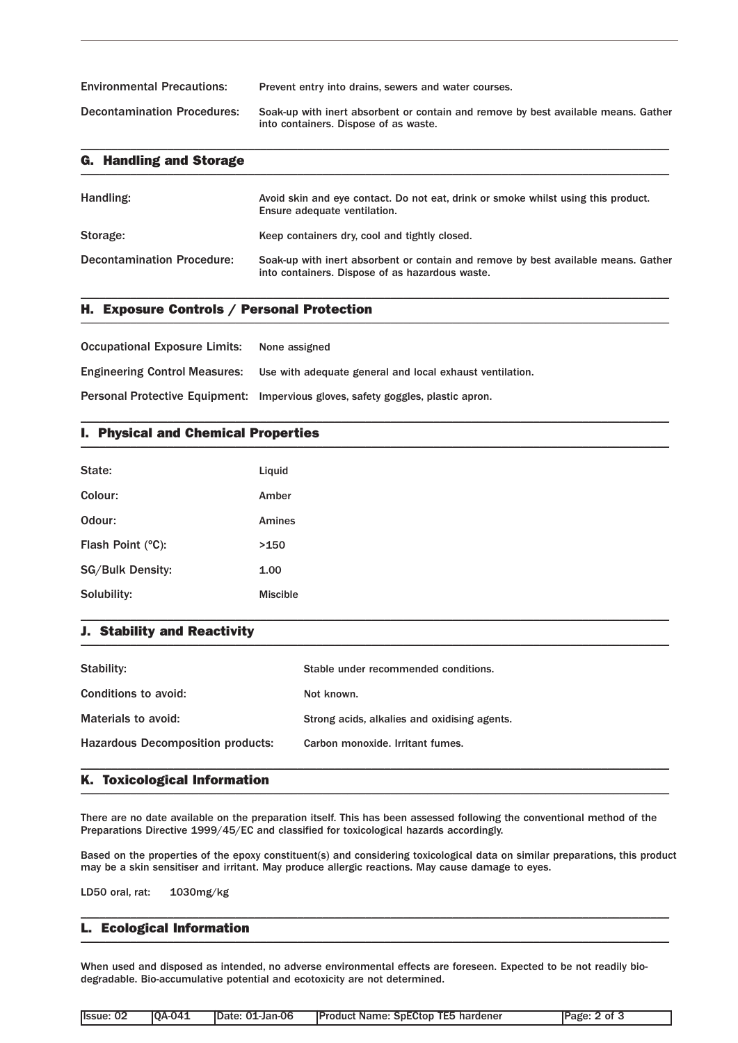Environmental Precautions: Prevent entry into drains, sewers and water courses. Decontamination Procedures: Soak-up with inert absorbent or contain and remove by best available means. Gather into containers. Dispose of as waste.

\_\_\_\_\_\_\_\_\_\_\_\_\_\_\_\_\_\_\_\_\_\_\_\_\_\_\_\_\_\_\_\_\_\_\_\_\_\_\_\_\_\_\_\_\_\_\_\_\_\_\_\_\_\_\_\_\_\_\_\_\_\_\_\_\_\_\_\_\_\_\_\_\_\_\_\_\_\_\_\_\_\_\_\_\_\_\_\_\_\_\_\_\_\_\_

| <b>G. Handling and Storage</b>    |                                                                                                                                       |
|-----------------------------------|---------------------------------------------------------------------------------------------------------------------------------------|
| Handling:                         | Avoid skin and eye contact. Do not eat, drink or smoke whilst using this product.<br>Ensure adequate ventilation.                     |
| Storage:                          | Keep containers dry, cool and tightly closed.                                                                                         |
| <b>Decontamination Procedure:</b> | Soak-up with inert absorbent or contain and remove by best available means. Gather<br>into containers. Dispose of as hazardous waste. |

\_\_\_\_\_\_\_\_\_\_\_\_\_\_\_\_\_\_\_\_\_\_\_\_\_\_\_\_\_\_\_\_\_\_\_\_\_\_\_\_\_\_\_\_\_\_\_\_\_\_\_\_\_\_\_\_\_\_\_\_\_\_\_\_\_\_\_\_\_\_\_\_\_\_\_\_\_\_\_\_\_\_\_\_\_\_\_\_\_\_\_\_\_\_\_

\_\_\_\_\_\_\_\_\_\_\_\_\_\_\_\_\_\_\_\_\_\_\_\_\_\_\_\_\_\_\_\_\_\_\_\_\_\_\_\_\_\_\_\_\_\_\_\_\_\_\_\_\_\_\_\_\_\_\_\_\_\_\_\_\_\_\_\_\_\_\_\_\_\_\_\_\_\_\_\_\_\_\_\_\_\_\_\_\_\_\_\_\_\_\_

# H. Exposure Controls / Personal Protection \_\_\_\_\_\_\_\_\_\_\_\_\_\_\_\_\_\_\_\_\_\_\_\_\_\_\_\_\_\_\_\_\_\_\_\_\_\_\_\_\_\_\_\_\_\_\_\_\_\_\_\_\_\_\_\_\_\_\_\_\_\_\_\_\_\_\_\_\_\_\_\_\_\_\_\_\_\_\_\_\_\_\_\_\_\_\_\_\_\_\_\_\_\_\_

Occupational Exposure Limits: None assigned Engineering Control Measures: Use with adequate general and local exhaust ventilation. Personal Protective Equipment: Impervious gloves, safety goggles, plastic apron.

# I. Physical and Chemical Properties \_\_\_\_\_\_\_\_\_\_\_\_\_\_\_\_\_\_\_\_\_\_\_\_\_\_\_\_\_\_\_\_\_\_\_\_\_\_\_\_\_\_\_\_\_\_\_\_\_\_\_\_\_\_\_\_\_\_\_\_\_\_\_\_\_\_\_\_\_\_\_\_\_\_\_\_\_\_\_\_\_\_\_\_\_\_\_\_\_\_\_\_\_\_\_

| State:                  | Liquid          |
|-------------------------|-----------------|
| Colour:                 | Amber           |
| Odour:                  | Amines          |
| Flash Point (°C):       | >150            |
| <b>SG/Bulk Density:</b> | 1.00            |
| Solubility:             | <b>Miscible</b> |

#### J. Stability and Reactivity  $\blacksquare$

| Stability:                               | Stable under recommended conditions.         |
|------------------------------------------|----------------------------------------------|
| Conditions to avoid:                     | Not known.                                   |
| Materials to avoid:                      | Strong acids, alkalies and oxidising agents. |
| <b>Hazardous Decomposition products:</b> | Carbon monoxide. Irritant fumes.             |
|                                          |                                              |

\_\_\_\_\_\_\_\_\_\_\_\_\_\_\_\_\_\_\_\_\_\_\_\_\_\_\_\_\_\_\_\_\_\_\_\_\_\_\_\_\_\_\_\_\_\_\_\_\_\_\_\_\_\_\_\_\_\_\_\_\_\_\_\_\_\_\_\_\_\_\_\_\_\_\_\_\_\_\_\_\_\_\_\_\_\_\_\_\_\_\_\_\_\_\_

# K. Toxicological Information \_\_\_\_\_\_\_\_\_\_\_\_\_\_\_\_\_\_\_\_\_\_\_\_\_\_\_\_\_\_\_\_\_\_\_\_\_\_\_\_\_\_\_\_\_\_\_\_\_\_\_\_\_\_\_\_\_\_\_\_\_\_\_\_\_\_\_\_\_\_\_\_\_\_\_\_\_\_\_\_\_\_\_\_\_\_\_\_\_\_\_\_\_\_\_

There are no date available on the preparation itself. This has been assessed following the conventional method of the Preparations Directive 1999/45/EC and classified for toxicological hazards accordingly.

Based on the properties of the epoxy constituent(s) and considering toxicological data on similar preparations, this product may be a skin sensitiser and irritant. May produce allergic reactions. May cause damage to eyes.

\_\_\_\_\_\_\_\_\_\_\_\_\_\_\_\_\_\_\_\_\_\_\_\_\_\_\_\_\_\_\_\_\_\_\_\_\_\_\_\_\_\_\_\_\_\_\_\_\_\_\_\_\_\_\_\_\_\_\_\_\_\_\_\_\_\_\_\_\_\_\_\_\_\_\_\_\_\_\_\_\_\_\_\_\_\_\_\_\_\_\_\_\_\_\_

LD50 oral, rat: 1030mg/kg

#### L. Ecological Information  $\blacksquare$   $\blacksquare$   $\blacksquare$   $\blacksquare$   $\blacksquare$   $\blacksquare$   $\blacksquare$   $\blacksquare$   $\blacksquare$   $\blacksquare$   $\blacksquare$   $\blacksquare$   $\blacksquare$   $\blacksquare$   $\blacksquare$   $\blacksquare$   $\blacksquare$   $\blacksquare$   $\blacksquare$   $\blacksquare$   $\blacksquare$   $\blacksquare$   $\blacksquare$   $\blacksquare$   $\blacksquare$   $\blacksquare$   $\blacksquare$   $\blacksquare$   $\blacksquare$   $\blacksquare$   $\blacksquare$   $\blacks$

When used and disposed as intended, no adverse environmental effects are foreseen. Expected to be not readily biodegradable. Bio-accumulative potential and ecotoxicity are not determined.

| Issue: 02 | <b>OA-041</b> | <b>Date: 01-Jan-06</b> | <b>Product Name: SpECtop TE5 hardener</b> | Page: 2 of 3 |
|-----------|---------------|------------------------|-------------------------------------------|--------------|
|-----------|---------------|------------------------|-------------------------------------------|--------------|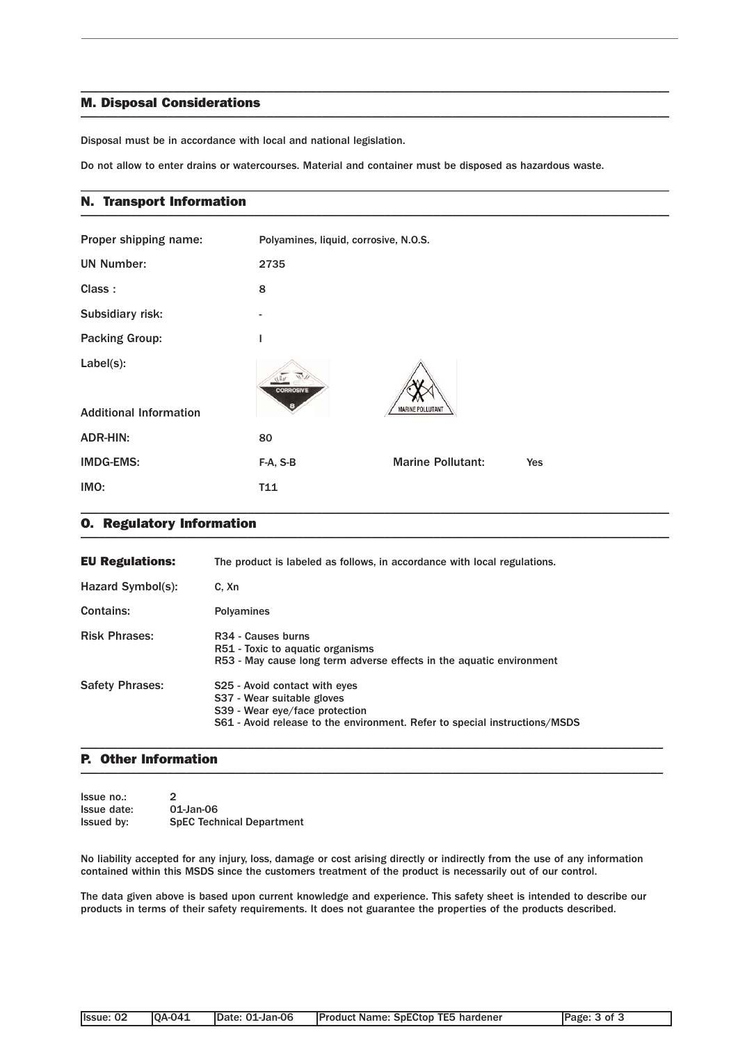### M. Disposal Considerations  $\blacksquare$

Disposal must be in accordance with local and national legislation.

Do not allow to enter drains or watercourses. Material and container must be disposed as hazardous waste.

\_\_\_\_\_\_\_\_\_\_\_\_\_\_\_\_\_\_\_\_\_\_\_\_\_\_\_\_\_\_\_\_\_\_\_\_\_\_\_\_\_\_\_\_\_\_\_\_\_\_\_\_\_\_\_\_\_\_\_\_\_\_\_\_\_\_\_\_\_\_\_\_\_\_\_\_\_\_\_\_\_\_\_\_\_\_\_\_\_\_\_\_\_\_\_

\_\_\_\_\_\_\_\_\_\_\_\_\_\_\_\_\_\_\_\_\_\_\_\_\_\_\_\_\_\_\_\_\_\_\_\_\_\_\_\_\_\_\_\_\_\_\_\_\_\_\_\_\_\_\_\_\_\_\_\_\_\_\_\_\_\_\_\_\_\_\_\_\_\_\_\_\_\_\_\_\_\_\_\_\_\_\_\_\_\_\_\_\_\_\_

### N. Transport Information \_\_\_\_\_\_\_\_\_\_\_\_\_\_\_\_\_\_\_\_\_\_\_\_\_\_\_\_\_\_\_\_\_\_\_\_\_\_\_\_\_\_\_\_\_\_\_\_\_\_\_\_\_\_\_\_\_\_\_\_\_\_\_\_\_\_\_\_\_\_\_\_\_\_\_\_\_\_\_\_\_\_\_\_\_\_\_\_\_\_\_\_\_\_\_

| Proper shipping name:                      | Polyamines, liquid, corrosive, N.O.S. |                          |            |
|--------------------------------------------|---------------------------------------|--------------------------|------------|
| <b>UN Number:</b>                          | 2735                                  |                          |            |
| Class:                                     | 8                                     |                          |            |
| Subsidiary risk:                           | $\overline{a}$                        |                          |            |
| <b>Packing Group:</b>                      | I                                     |                          |            |
| Label(s):<br><b>Additional Information</b> | <b>CORROSIVE</b>                      | <b>MARINE POLLUTANT</b>  |            |
| <b>ADR-HIN:</b>                            | 80                                    |                          |            |
| <b>IMDG-EMS:</b>                           | F-A, S-B                              | <b>Marine Pollutant:</b> | <b>Yes</b> |
| IMO:                                       | T11                                   |                          |            |

#### O. Regulatory Information \_\_\_\_\_\_\_\_\_\_\_\_\_\_\_\_\_\_\_\_\_\_\_\_\_\_\_\_\_\_\_\_\_\_\_\_\_\_\_\_\_\_\_\_\_\_\_\_\_\_\_\_\_\_\_\_\_\_\_\_\_\_\_\_\_\_\_\_\_\_\_\_\_\_\_\_\_\_\_\_\_\_\_\_\_\_\_\_\_\_\_\_\_\_\_

| <b>EU Regulations:</b> | The product is labeled as follows, in accordance with local regulations.                                                                                                    |
|------------------------|-----------------------------------------------------------------------------------------------------------------------------------------------------------------------------|
| Hazard Symbol(s):      | C. Xn                                                                                                                                                                       |
| Contains:              | <b>Polyamines</b>                                                                                                                                                           |
| <b>Risk Phrases:</b>   | R <sub>34</sub> - Causes burns<br>R51 - Toxic to aquatic organisms<br>R53 - May cause long term adverse effects in the aquatic environment                                  |
| <b>Safety Phrases:</b> | S25 - Avoid contact with eyes<br>S37 - Wear suitable gloves<br>S39 - Wear eye/face protection<br>S61 - Avoid release to the environment. Refer to special instructions/MSDS |

### P. Other Information  $\blacksquare$

| Issue no.:        | 2                                |
|-------------------|----------------------------------|
| Issue date:       | 01-Jan-06                        |
| <b>Issued by:</b> | <b>SpEC Technical Department</b> |

No liability accepted for any injury, loss, damage or cost arising directly or indirectly from the use of any information contained within this MSDS since the customers treatment of the product is necessarily out of our control.

\_\_\_\_\_\_\_\_\_\_\_\_\_\_\_\_\_\_\_\_\_\_\_\_\_\_\_\_\_\_\_\_\_\_\_\_\_\_\_\_\_\_\_\_\_\_\_\_\_\_\_\_\_\_\_\_\_\_\_\_\_\_\_\_\_\_\_\_\_\_\_\_\_\_\_\_\_\_\_\_\_\_\_\_\_\_\_\_\_\_\_\_\_\_

The data given above is based upon current knowledge and experience. This safety sheet is intended to describe our products in terms of their safety requirements. It does not guarantee the properties of the products described.

|  | llssue: 02 | <b>IOA-041</b> | IDate: 01-Jan-06 | <b>Product Name: SpECtop TE5 hardener</b> | Page: 3 of 3 |
|--|------------|----------------|------------------|-------------------------------------------|--------------|
|--|------------|----------------|------------------|-------------------------------------------|--------------|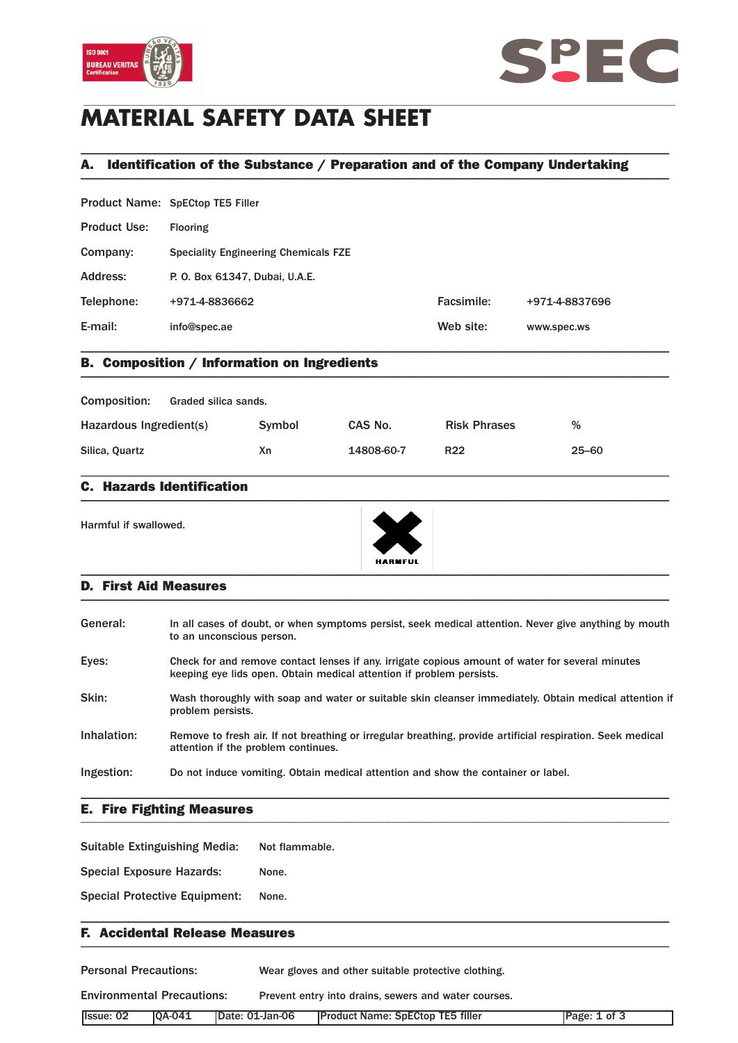



# **MATERIAL SAFETY DATA SHEET**

# A. Identification of the Substance / Preparation and of the Company Undertaking \_\_\_\_\_\_\_\_\_\_\_\_\_\_\_\_\_\_\_\_\_\_\_\_\_\_\_\_\_\_\_\_\_\_\_\_\_\_\_\_\_\_\_\_\_\_\_\_\_\_\_\_\_\_\_\_\_\_\_\_\_\_\_\_\_\_\_\_\_\_\_\_\_\_\_\_\_\_\_\_\_\_\_\_\_\_\_\_\_\_\_\_\_\_\_

\_\_\_\_\_\_\_\_\_\_\_\_\_\_\_\_\_\_\_\_\_\_\_\_\_\_\_\_\_\_\_\_\_\_\_\_\_\_\_\_\_\_\_\_\_\_\_\_\_\_\_\_\_\_\_\_\_\_\_\_\_\_\_\_\_\_\_\_\_\_\_\_\_\_\_\_\_\_\_\_\_\_\_\_\_\_\_\_\_\_\_\_\_\_\_

|                     | Product Name: SpECtop TE5 Filler            |            |                |
|---------------------|---------------------------------------------|------------|----------------|
| <b>Product Use:</b> | <b>Flooring</b>                             |            |                |
| Company:            | <b>Speciality Engineering Chemicals FZE</b> |            |                |
| Address:            | P. O. Box 61347, Dubai, U.A.E.              |            |                |
| Telephone:          | +971-4-8836662                              | Facsimile: | +971-4-8837696 |
| E-mail:             | info@spec.ae                                | Web site:  | www.spec.ws    |
|                     |                                             |            |                |

# B. Composition / Information on Ingredients \_\_\_\_\_\_\_\_\_\_\_\_\_\_\_\_\_\_\_\_\_\_\_\_\_\_\_\_\_\_\_\_\_\_\_\_\_\_\_\_\_\_\_\_\_\_\_\_\_\_\_\_\_\_\_\_\_\_\_\_\_\_\_\_\_\_\_\_\_\_\_\_\_\_\_\_\_\_\_\_\_\_\_\_\_\_\_\_\_\_\_\_\_\_\_

| <b>Composition:</b>     | Graded silica sands. |        |            |                     |           |
|-------------------------|----------------------|--------|------------|---------------------|-----------|
| Hazardous Ingredient(s) |                      | Symbol | CAS No.    | <b>Risk Phrases</b> | %         |
| Silica, Quartz          |                      | Xn     | 14808-60-7 | R <sub>22</sub>     | $25 - 60$ |

\_\_\_\_\_\_\_\_\_\_\_\_\_\_\_\_\_\_\_\_\_\_\_\_\_\_\_\_\_\_\_\_\_\_\_\_\_\_\_\_\_\_\_\_\_\_\_\_\_\_\_\_\_\_\_\_\_\_\_\_\_\_\_\_\_\_\_\_\_\_\_\_\_\_\_\_\_\_\_\_\_\_\_\_\_\_\_\_\_\_\_\_\_\_\_

### C. Hazards Identification  $\blacksquare$

Harmful if swallowed.



### D. First Aid Measures \_\_\_\_\_\_\_\_\_\_\_\_\_\_\_\_\_\_\_\_\_\_\_\_\_\_\_\_\_\_\_\_\_\_\_\_\_\_\_\_\_\_\_\_\_\_\_\_\_\_\_\_\_\_\_\_\_\_\_\_\_\_\_\_\_\_\_\_\_\_\_\_\_\_\_\_\_\_\_\_\_\_\_\_\_\_\_\_\_\_\_\_\_\_\_

| In all cases of doubt, or when symptoms persist, seek medical attention. Never give anything by mouth                                                                    |
|--------------------------------------------------------------------------------------------------------------------------------------------------------------------------|
|                                                                                                                                                                          |
| Check for and remove contact lenses if any, irrigate copious amount of water for several minutes<br>keeping eye lids open. Obtain medical attention if problem persists. |
| Wash thoroughly with soap and water or suitable skin cleanser immediately. Obtain medical attention if                                                                   |
| Remove to fresh air. If not breathing or irregular breathing, provide artificial respiration. Seek medical                                                               |
| Do not induce vomiting. Obtain medical attention and show the container or label.                                                                                        |
|                                                                                                                                                                          |

### E. Fire Fighting Measures \_\_\_\_\_\_\_\_\_\_\_\_\_\_\_\_\_\_\_\_\_\_\_\_\_\_\_\_\_\_\_\_\_\_\_\_\_\_\_\_\_\_\_\_\_\_\_\_\_\_\_\_\_\_\_\_\_\_\_\_\_\_\_\_\_\_\_\_\_\_\_\_\_\_\_\_\_\_\_\_\_\_\_\_\_\_\_\_\_\_\_\_\_\_\_

Suitable Extinguishing Media: Not flammable.

Special Exposure Hazards: None.

Special Protective Equipment: None.

### F. Accidental Release Measures \_\_\_\_\_\_\_\_\_\_\_\_\_\_\_\_\_\_\_\_\_\_\_\_\_\_\_\_\_\_\_\_\_\_\_\_\_\_\_\_\_\_\_\_\_\_\_\_\_\_\_\_\_\_\_\_\_\_\_\_\_\_\_\_\_\_\_\_\_\_\_\_\_\_\_\_\_\_\_\_\_\_\_\_\_\_\_\_\_\_\_\_\_\_\_

| <b>Personal Precautions:</b><br>Wear gloves and other suitable protective clothing. |               |                 |                                                      |              |
|-------------------------------------------------------------------------------------|---------------|-----------------|------------------------------------------------------|--------------|
| <b>Environmental Precautions:</b>                                                   |               |                 | Prevent entry into drains, sewers and water courses. |              |
| Issue: 02                                                                           | <b>0A-041</b> | Date: 01-Jan-06 | <b>Product Name: SpECtop TE5 filler</b>              | Page: 1 of 3 |

\_\_\_\_\_\_\_\_\_\_\_\_\_\_\_\_\_\_\_\_\_\_\_\_\_\_\_\_\_\_\_\_\_\_\_\_\_\_\_\_\_\_\_\_\_\_\_\_\_\_\_\_\_\_\_\_\_\_\_\_\_\_\_\_\_\_\_\_\_\_\_\_\_\_\_\_\_\_\_\_\_\_\_\_\_\_\_\_\_\_\_\_\_\_\_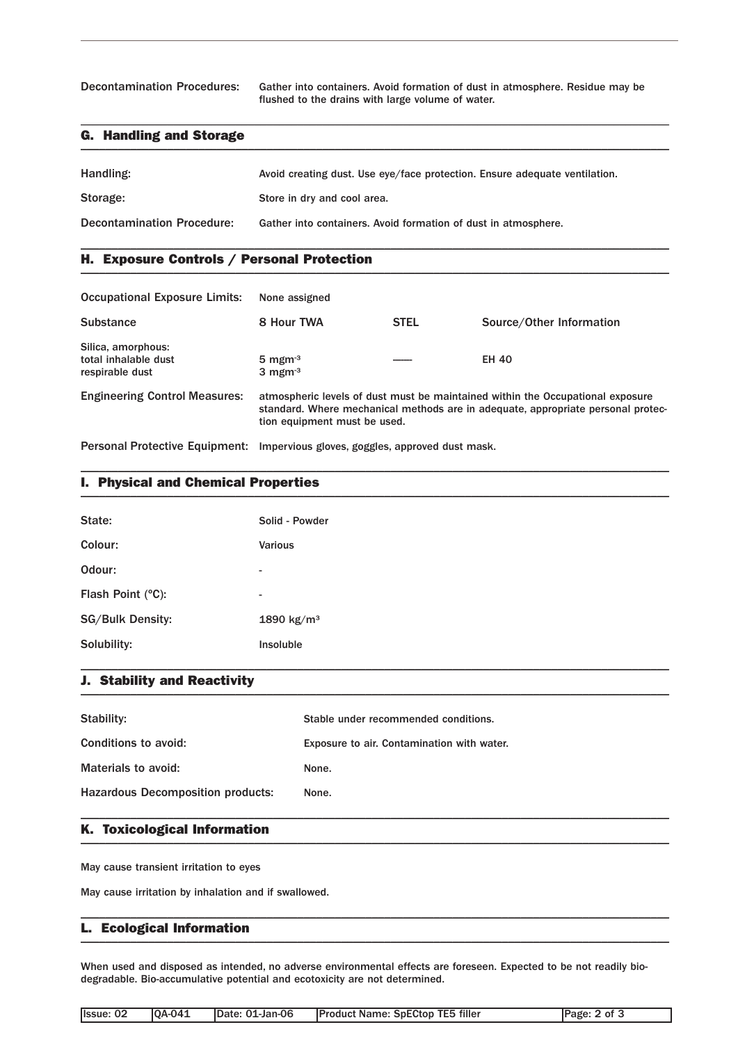Decontamination Procedures: Gather into containers. Avoid formation of dust in atmosphere. Residue may be flushed to the drains with large volume of water.

# G. Handling and Storage \_\_\_\_\_\_\_\_\_\_\_\_\_\_\_\_\_\_\_\_\_\_\_\_\_\_\_\_\_\_\_\_\_\_\_\_\_\_\_\_\_\_\_\_\_\_\_\_\_\_\_\_\_\_\_\_\_\_\_\_\_\_\_\_\_\_\_\_\_\_\_\_\_\_\_\_\_\_\_\_\_\_\_\_\_\_\_\_\_\_\_\_\_\_\_

| Handling:                         | Avoid creating dust. Use eye/face protection. Ensure adequate ventilation. |
|-----------------------------------|----------------------------------------------------------------------------|
| Storage:                          | Store in dry and cool area.                                                |
| <b>Decontamination Procedure:</b> | Gather into containers. Avoid formation of dust in atmosphere.             |

\_\_\_\_\_\_\_\_\_\_\_\_\_\_\_\_\_\_\_\_\_\_\_\_\_\_\_\_\_\_\_\_\_\_\_\_\_\_\_\_\_\_\_\_\_\_\_\_\_\_\_\_\_\_\_\_\_\_\_\_\_\_\_\_\_\_\_\_\_\_\_\_\_\_\_\_\_\_\_\_\_\_\_\_\_\_\_\_\_\_\_\_\_\_\_

\_\_\_\_\_\_\_\_\_\_\_\_\_\_\_\_\_\_\_\_\_\_\_\_\_\_\_\_\_\_\_\_\_\_\_\_\_\_\_\_\_\_\_\_\_\_\_\_\_\_\_\_\_\_\_\_\_\_\_\_\_\_\_\_\_\_\_\_\_\_\_\_\_\_\_\_\_\_\_\_\_\_\_\_\_\_\_\_\_\_\_\_\_\_\_

# H. Exposure Controls / Personal Protection \_\_\_\_\_\_\_\_\_\_\_\_\_\_\_\_\_\_\_\_\_\_\_\_\_\_\_\_\_\_\_\_\_\_\_\_\_\_\_\_\_\_\_\_\_\_\_\_\_\_\_\_\_\_\_\_\_\_\_\_\_\_\_\_\_\_\_\_\_\_\_\_\_\_\_\_\_\_\_\_\_\_\_\_\_\_\_\_\_\_\_\_\_\_\_

| <b>Occupational Exposure Limits:</b>                                           | None assigned                                                                                                                                                                                      |             |                          |
|--------------------------------------------------------------------------------|----------------------------------------------------------------------------------------------------------------------------------------------------------------------------------------------------|-------------|--------------------------|
| <b>Substance</b>                                                               | 8 Hour TWA                                                                                                                                                                                         | <b>STEL</b> | Source/Other Information |
| Silica, amorphous:<br>total inhalable dust<br>respirable dust                  | $5 \text{ mgm}^3$<br>$3 \text{ mgm}$ <sup>3</sup>                                                                                                                                                  |             | <b>EH 40</b>             |
| <b>Engineering Control Measures:</b>                                           | atmospheric levels of dust must be maintained within the Occupational exposure<br>standard. Where mechanical methods are in adequate, appropriate personal protec-<br>tion equipment must be used. |             |                          |
| Personal Protective Equipment: Impervious gloves, goggles, approved dust mask. |                                                                                                                                                                                                    |             |                          |

\_\_\_\_\_\_\_\_\_\_\_\_\_\_\_\_\_\_\_\_\_\_\_\_\_\_\_\_\_\_\_\_\_\_\_\_\_\_\_\_\_\_\_\_\_\_\_\_\_\_\_\_\_\_\_\_\_\_\_\_\_\_\_\_\_\_\_\_\_\_\_\_\_\_\_\_\_\_\_\_\_\_\_\_\_\_\_\_\_\_\_\_\_\_\_

# I. Physical and Chemical Properties \_\_\_\_\_\_\_\_\_\_\_\_\_\_\_\_\_\_\_\_\_\_\_\_\_\_\_\_\_\_\_\_\_\_\_\_\_\_\_\_\_\_\_\_\_\_\_\_\_\_\_\_\_\_\_\_\_\_\_\_\_\_\_\_\_\_\_\_\_\_\_\_\_\_\_\_\_\_\_\_\_\_\_\_\_\_\_\_\_\_\_\_\_\_\_

| State:                  | Solid - Powder           |
|-------------------------|--------------------------|
| Colour:                 | Various                  |
| Odour:                  | ۰.                       |
| Flash Point (°C):       | $\overline{\phantom{a}}$ |
| <b>SG/Bulk Density:</b> | 1890 kg/m <sup>3</sup>   |
| Solubility:             | Insoluble                |

#### J. Stability and Reactivity  $\blacksquare$

| Stability:                               | Stable under recommended conditions.       |
|------------------------------------------|--------------------------------------------|
| Conditions to avoid:                     | Exposure to air. Contamination with water. |
| Materials to avoid:                      | None.                                      |
| <b>Hazardous Decomposition products:</b> | None.                                      |
|                                          |                                            |

# K. Toxicological Information \_\_\_\_\_\_\_\_\_\_\_\_\_\_\_\_\_\_\_\_\_\_\_\_\_\_\_\_\_\_\_\_\_\_\_\_\_\_\_\_\_\_\_\_\_\_\_\_\_\_\_\_\_\_\_\_\_\_\_\_\_\_\_\_\_\_\_\_\_\_\_\_\_\_\_\_\_\_\_\_\_\_\_\_\_\_\_\_\_\_\_\_\_\_\_

May cause transient irritation to eyes

May cause irritation by inhalation and if swallowed.

#### L. Ecological Information  $\blacksquare$   $\blacksquare$   $\blacksquare$   $\blacksquare$   $\blacksquare$   $\blacksquare$   $\blacksquare$   $\blacksquare$   $\blacksquare$   $\blacksquare$   $\blacksquare$   $\blacksquare$   $\blacksquare$   $\blacksquare$   $\blacksquare$   $\blacksquare$   $\blacksquare$   $\blacksquare$   $\blacksquare$   $\blacksquare$   $\blacksquare$   $\blacksquare$   $\blacksquare$   $\blacksquare$   $\blacksquare$   $\blacksquare$   $\blacksquare$   $\blacksquare$   $\blacksquare$   $\blacksquare$   $\blacksquare$   $\blacks$

When used and disposed as intended, no adverse environmental effects are foreseen. Expected to be not readily biodegradable. Bio-accumulative potential and ecotoxicity are not determined.

\_\_\_\_\_\_\_\_\_\_\_\_\_\_\_\_\_\_\_\_\_\_\_\_\_\_\_\_\_\_\_\_\_\_\_\_\_\_\_\_\_\_\_\_\_\_\_\_\_\_\_\_\_\_\_\_\_\_\_\_\_\_\_\_\_\_\_\_\_\_\_\_\_\_\_\_\_\_\_\_\_\_\_\_\_\_\_\_\_\_\_\_\_\_\_

| Issue: 02 | <b>QA-041</b> | Date: 01-Jan-06 | <b>Product Name: SpECtop TE5 filler</b> | Page: 2 of 3 |
|-----------|---------------|-----------------|-----------------------------------------|--------------|